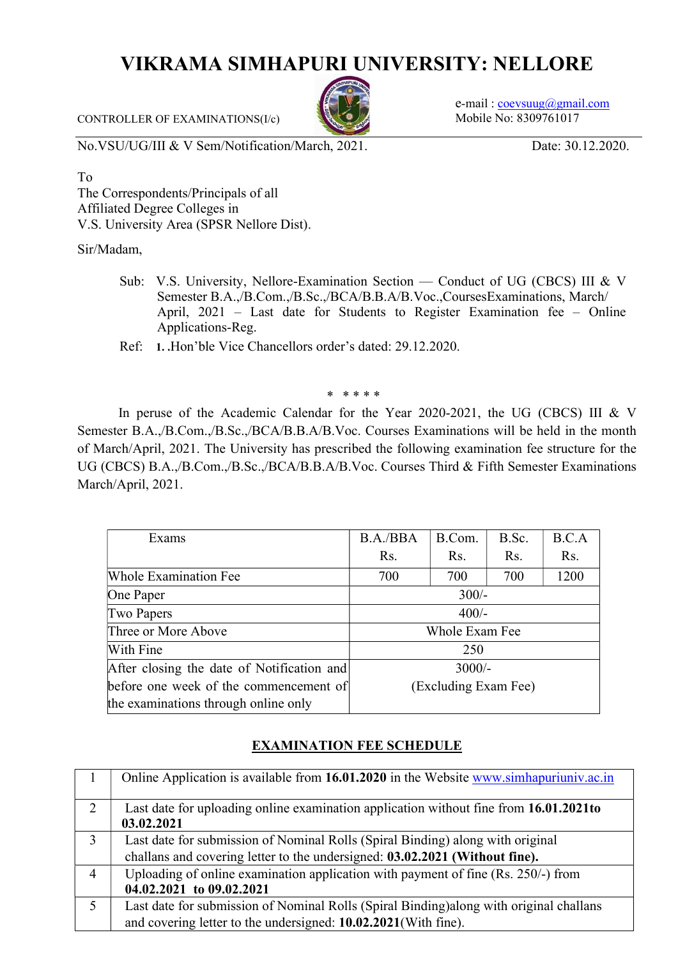## VIKRAMA SIMHAPURI UNIVERSITY: NELLORE

 $e$ -mail : coevsuug@gmail.com Mobile No: 8309761017

CONTROLLER OF EXAMINATIONS(I/c)

No.VSU/UG/III & V Sem/Notification/March, 2021. Date: 30.12.2020.

To

The Correspondents/Principals of all Affiliated Degree Colleges in V.S. University Area (SPSR Nellore Dist).

Sir/Madam,

- Sub: V.S. University, Nellore-Examination Section Conduct of UG (CBCS) III & V Semester B.A.,/B.Com.,/B.Sc.,/BCA/B.B.A/B.Voc.,CoursesExaminations, March/ April, 2021 – Last date for Students to Register Examination fee – Online Applications-Reg.
- Ref: 1. .Hon'ble Vice Chancellors order's dated: 29.12.2020.

\* \* \* \* \*

In peruse of the Academic Calendar for the Year 2020-2021, the UG (CBCS) III & V Semester B.A.,/B.Com.,/B.Sc.,/BCA/B.B.A/B.Voc. Courses Examinations will be held in the month of March/April, 2021. The University has prescribed the following examination fee structure for the UG (CBCS) B.A.,/B.Com.,/B.Sc.,/BCA/B.B.A/B.Voc. Courses Third & Fifth Semester Examinations March/April, 2021.

| Exams                                      | B.A./BBA             | B.Com. | B.Sc. | B.C.A |
|--------------------------------------------|----------------------|--------|-------|-------|
|                                            | Rs.                  | Rs.    | Rs.   | Rs.   |
| <b>Whole Examination Fee</b>               | 700                  | 700    | 700   | 1200  |
| One Paper                                  | $300/-$              |        |       |       |
| Two Papers                                 | $400/-$              |        |       |       |
| Three or More Above                        | Whole Exam Fee       |        |       |       |
| With Fine                                  | 250                  |        |       |       |
| After closing the date of Notification and | $3000/-$             |        |       |       |
| before one week of the commencement of     | (Excluding Exam Fee) |        |       |       |
| the examinations through online only       |                      |        |       |       |

## EXAMINATION FEE SCHEDULE

|   | Online Application is available from 16.01.2020 in the Website www.simhapuriuniv.ac.in  |
|---|-----------------------------------------------------------------------------------------|
| 2 | Last date for uploading online examination application without fine from 16.01.2021to   |
|   | 03.02.2021                                                                              |
| 3 | Last date for submission of Nominal Rolls (Spiral Binding) along with original          |
|   | challans and covering letter to the undersigned: 03.02.2021 (Without fine).             |
| 4 | Uploading of online examination application with payment of fine (Rs. 250/-) from       |
|   | 04.02.2021 to 09.02.2021                                                                |
| 5 | Last date for submission of Nominal Rolls (Spiral Binding) along with original challans |
|   | and covering letter to the undersigned: 10.02.2021(With fine).                          |